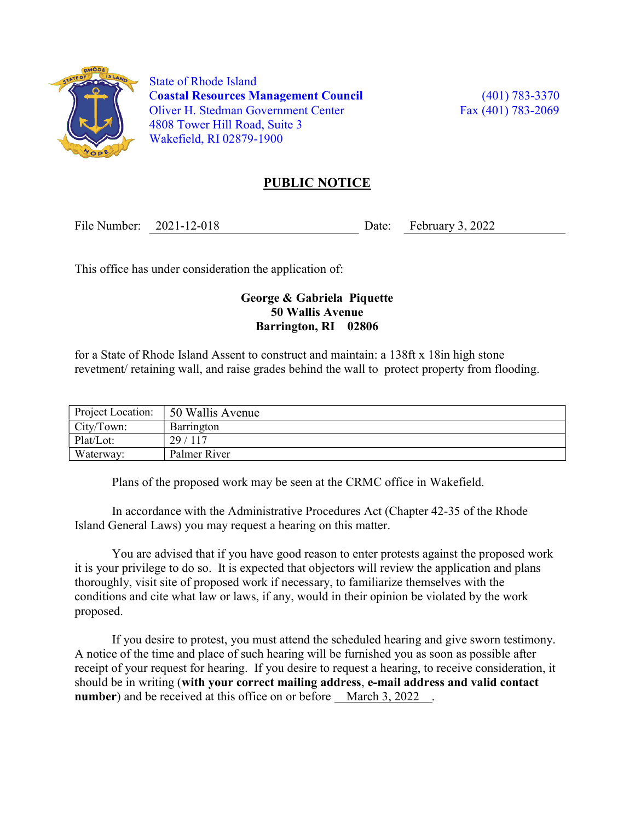

 State of Rhode Island Coastal Resources Management Council (401) 783-3370 Oliver H. Stedman Government Center Fax (401) 783-2069 4808 Tower Hill Road, Suite 3 Wakefield, RI 02879-1900

## PUBLIC NOTICE

File Number: 2021-12-018 Date: February 3, 2022

This office has under consideration the application of:

## George & Gabriela Piquette 50 Wallis Avenue Barrington, RI 02806

for a State of Rhode Island Assent to construct and maintain: a 138ft x 18in high stone revetment/ retaining wall, and raise grades behind the wall to protect property from flooding.

| Project Location: | 50 Wallis Avenue |
|-------------------|------------------|
| City/Town:        | Barrington       |
| Plat/Lot:         | 29/117           |
| Waterway:         | Palmer River     |

Plans of the proposed work may be seen at the CRMC office in Wakefield.

In accordance with the Administrative Procedures Act (Chapter 42-35 of the Rhode Island General Laws) you may request a hearing on this matter.

You are advised that if you have good reason to enter protests against the proposed work it is your privilege to do so. It is expected that objectors will review the application and plans thoroughly, visit site of proposed work if necessary, to familiarize themselves with the conditions and cite what law or laws, if any, would in their opinion be violated by the work proposed.

If you desire to protest, you must attend the scheduled hearing and give sworn testimony. A notice of the time and place of such hearing will be furnished you as soon as possible after receipt of your request for hearing. If you desire to request a hearing, to receive consideration, it should be in writing (with your correct mailing address, e-mail address and valid contact number) and be received at this office on or before March 3, 2022.